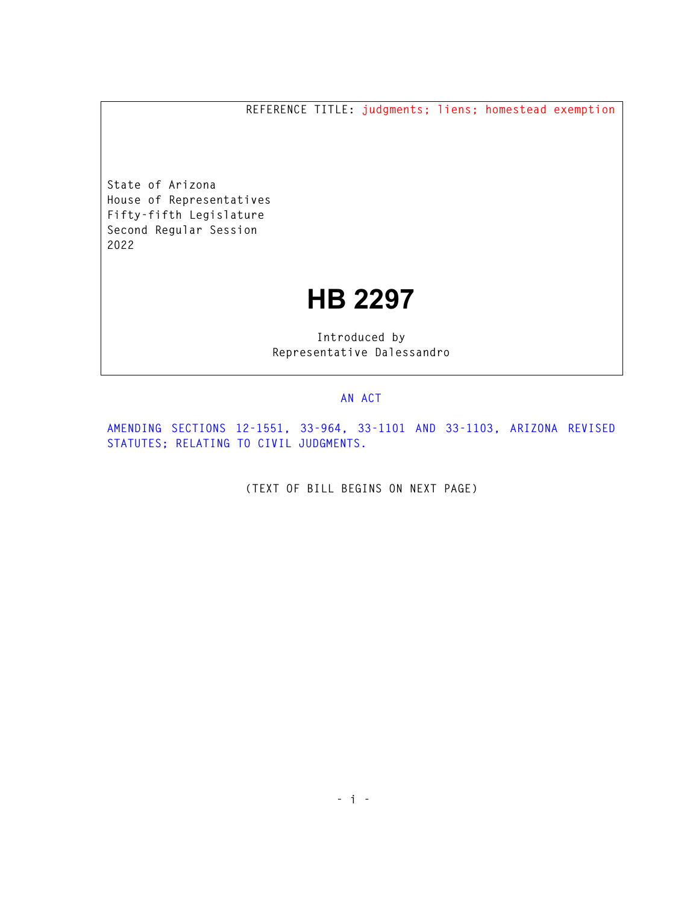**REFERENCE TITLE: judgments; liens; homestead exemption** 

**State of Arizona House of Representatives Fifty-fifth Legislature Second Regular Session 2022** 

## **HB 2297**

**Introduced by Representative Dalessandro** 

## **AN ACT**

**AMENDING SECTIONS 12-1551, 33-964, 33-1101 AND 33-1103, ARIZONA REVISED STATUTES; RELATING TO CIVIL JUDGMENTS.** 

**(TEXT OF BILL BEGINS ON NEXT PAGE)**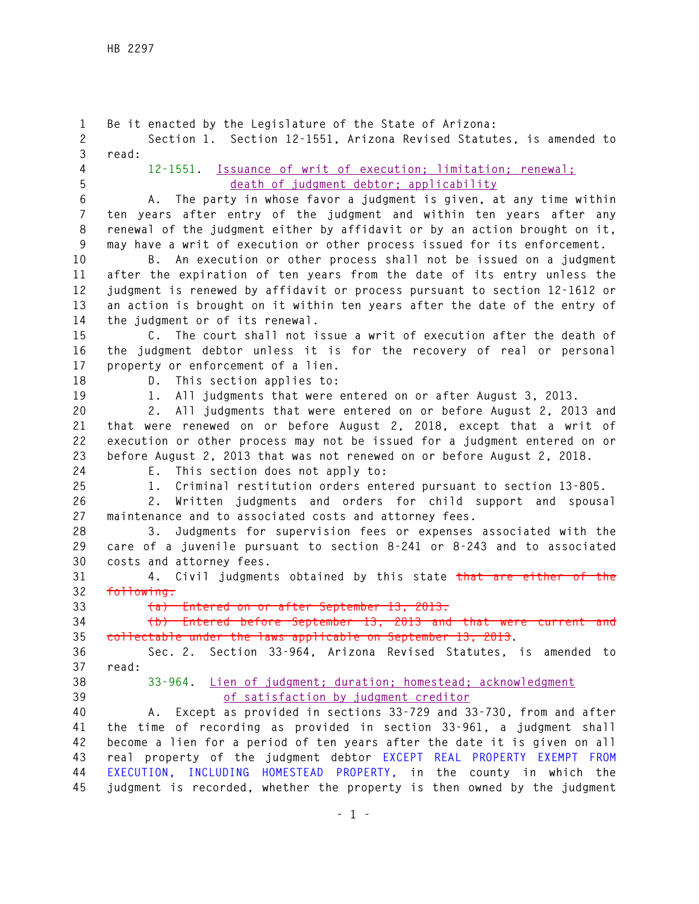**1 Be it enacted by the Legislature of the State of Arizona: 2 Section 1. Section 12-1551, Arizona Revised Statutes, is amended to 3 read: 4 12-1551. Issuance of writ of execution; limitation; renewal; 5 death of judgment debtor; applicability 6 A. The party in whose favor a judgment is given, at any time within 7 ten years after entry of the judgment and within ten years after any 8 renewal of the judgment either by affidavit or by an action brought on it, 9 may have a writ of execution or other process issued for its enforcement. 10 B. An execution or other process shall not be issued on a judgment 11 after the expiration of ten years from the date of its entry unless the 12 judgment is renewed by affidavit or process pursuant to section 12-1612 or 13 an action is brought on it within ten years after the date of the entry of 14 the judgment or of its renewal. 15 C. The court shall not issue a writ of execution after the death of 16 the judgment debtor unless it is for the recovery of real or personal 17 property or enforcement of a lien. 18 D. This section applies to: 19 1. All judgments that were entered on or after August 3, 2013. 20 2. All judgments that were entered on or before August 2, 2013 and 21 that were renewed on or before August 2, 2018, except that a writ of 22 execution or other process may not be issued for a judgment entered on or 23 before August 2, 2013 that was not renewed on or before August 2, 2018. 24 E. This section does not apply to: 25 1. Criminal restitution orders entered pursuant to section 13-805. 26 2. Written judgments and orders for child support and spousal 27 maintenance and to associated costs and attorney fees. 28 3. Judgments for supervision fees or expenses associated with the 29 care of a juvenile pursuant to section 8-241 or 8-243 and to associated 30 costs and attorney fees. 31 4. Civil judgments obtained by this state that are either of the 32 following: 33 (a) Entered on or after September 13, 2013. 34 (b) Entered before September 13, 2013 and that were current and 35 collectable under the laws applicable on September 13, 2013. 36 Sec. 2. Section 33-964, Arizona Revised Statutes, is amended to 37 read: 38 33-964. Lien of judgment; duration; homestead; acknowledgment 39 of satisfaction by judgment creditor 40 A. Except as provided in sections 33-729 and 33-730, from and after 41 the time of recording as provided in section 33-961, a judgment shall 42 become a lien for a period of ten years after the date it is given on all 43 real property of the judgment debtor EXCEPT REAL PROPERTY EXEMPT FROM 44 EXECUTION, INCLUDING HOMESTEAD PROPERTY, in the county in which the 45 judgment is recorded, whether the property is then owned by the judgment**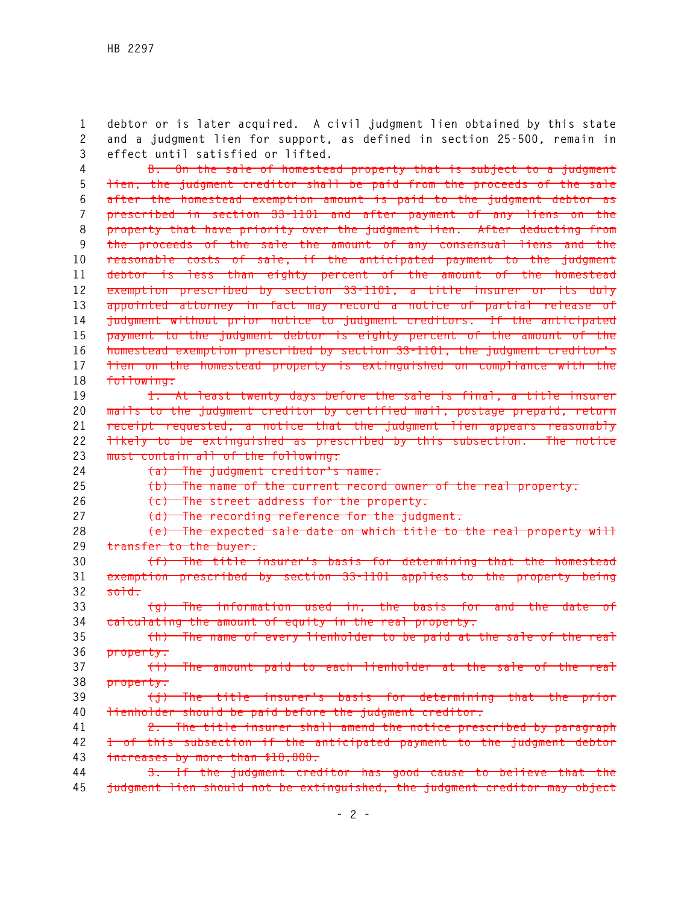**1 debtor or is later acquired. A civil judgment lien obtained by this state 2 and a judgment lien for support, as defined in section 25-500, remain in 3 effect until satisfied or lifted.** 

**4 B. On the sale of homestead property that is subject to a judgment 5 lien, the judgment creditor shall be paid from the proceeds of the sale 6 after the homestead exemption amount is paid to the judgment debtor as 7 prescribed in section 33-1101 and after payment of any liens on the 8 property that have priority over the judgment lien. After deducting from 9 the proceeds of the sale the amount of any consensual liens and the 10 reasonable costs of sale, if the anticipated payment to the judgment 11 debtor is less than eighty percent of the amount of the homestead 12 exemption prescribed by section 33-1101, a title insurer or its duly 13 appointed attorney in fact may record a notice of partial release of 14 judgment without prior notice to judgment creditors. If the anticipated 15 payment to the judgment debtor is eighty percent of the amount of the 16 homestead exemption prescribed by section 33-1101, the judgment creditor's 17 lien on the homestead property is extinguished on compliance with the 18 following:** 

**19 1. At least twenty days before the sale is final, a title insurer 20 mails to the judgment creditor by certified mail, postage prepaid, return 21 receipt requested, a notice that the judgment lien appears reasonably 22 likely to be extinguished as prescribed by this subsection. The notice 23 must contain all of the following:** 

**24 (a) The judgment creditor's name.** 

**25 (b) The name of the current record owner of the real property.** 

**26 (c) The street address for the property.** 

**27 (d) The recording reference for the judgment.** 

**28 (e) The expected sale date on which title to the real property will 29 transfer to the buyer.** 

**30 (f) The title insurer's basis for determining that the homestead 31 exemption prescribed by section 33-1101 applies to the property being 32 sold.** 

**33 (g) The information used in, the basis for and the date of 34 calculating the amount of equity in the real property.** 

**35 (h) The name of every lienholder to be paid at the sale of the real 36 property.** 

**37 (i) The amount paid to each lienholder at the sale of the real 38 property.** 

**39 (j) The title insurer's basis for determining that the prior 40 lienholder should be paid before the judgment creditor.** 

**41 2. The title insurer shall amend the notice prescribed by paragraph 42 1 of this subsection if the anticipated payment to the judgment debtor 43 increases by more than \$10,000.** 

**44 3. If the judgment creditor has good cause to believe that the 45 judgment lien should not be extinguished, the judgment creditor may object**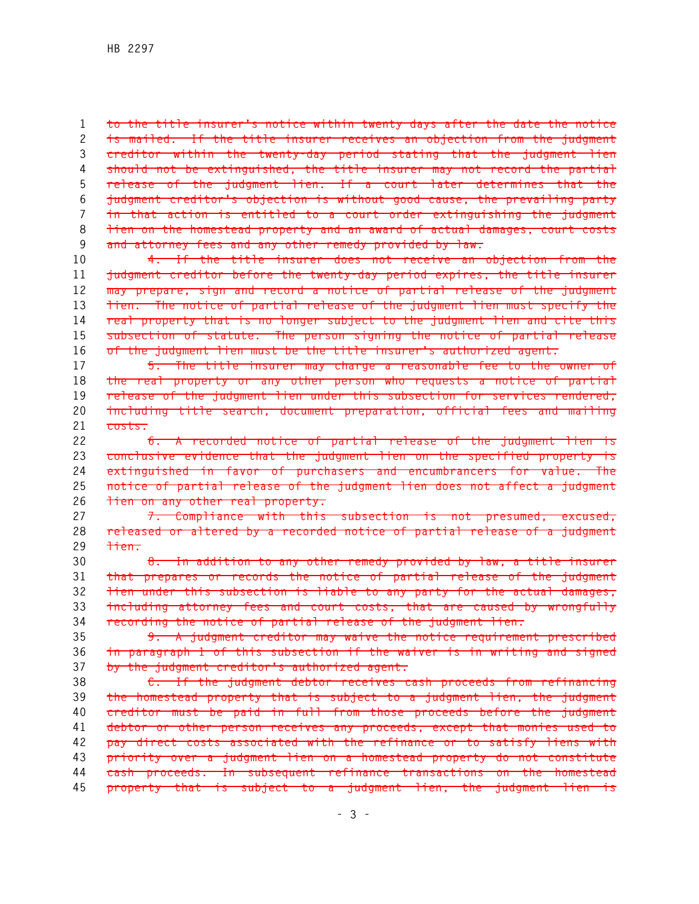**1 to the title insurer's notice within twenty days after the date the notice 2 is mailed. If the title insurer receives an objection from the judgment 3 creditor within the twenty-day period stating that the judgment lien 4 should not be extinguished, the title insurer may not record the partial 5 release of the judgment lien. If a court later determines that the 6 judgment creditor's objection is without good cause, the prevailing party 7 in that action is entitled to a court order extinguishing the judgment 8 lien on the homestead property and an award of actual damages, court costs 9 and attorney fees and any other remedy provided by law.** 

**10 4. If the title insurer does not receive an objection from the 11 judgment creditor before the twenty-day period expires, the title insurer 12 may prepare, sign and record a notice of partial release of the judgment 13 lien. The notice of partial release of the judgment lien must specify the 14 real property that is no longer subject to the judgment lien and cite this 15 subsection of statute. The person signing the notice of partial release 16 of the judgment lien must be the title insurer's authorized agent.** 

**17 5. The title insurer may charge a reasonable fee to the owner of 18 the real property or any other person who requests a notice of partial 19 release of the judgment lien under this subsection for services rendered, 20 including title search, document preparation, official fees and mailing 21 costs.** 

**22 6. A recorded notice of partial release of the judgment lien is 23 conclusive evidence that the judgment lien on the specified property is 24 extinguished in favor of purchasers and encumbrancers for value. The 25 notice of partial release of the judgment lien does not affect a judgment 26 lien on any other real property.** 

**27 7. Compliance with this subsection is not presumed, excused, 28 released or altered by a recorded notice of partial release of a judgment 29 lien.** 

**30 8. In addition to any other remedy provided by law, a title insurer 31 that prepares or records the notice of partial release of the judgment 32 lien under this subsection is liable to any party for the actual damages, 33 including attorney fees and court costs, that are caused by wrongfully 34 recording the notice of partial release of the judgment lien.** 

**35 9. A judgment creditor may waive the notice requirement prescribed 36 in paragraph 1 of this subsection if the waiver is in writing and signed 37 by the judgment creditor's authorized agent.** 

**38 C. If the judgment debtor receives cash proceeds from refinancing 39 the homestead property that is subject to a judgment lien, the judgment 40 creditor must be paid in full from those proceeds before the judgment 41 debtor or other person receives any proceeds, except that monies used to 42 pay direct costs associated with the refinance or to satisfy liens with 43 priority over a judgment lien on a homestead property do not constitute 44 cash proceeds. In subsequent refinance transactions on the homestead 45 property that is subject to a judgment lien, the judgment lien is**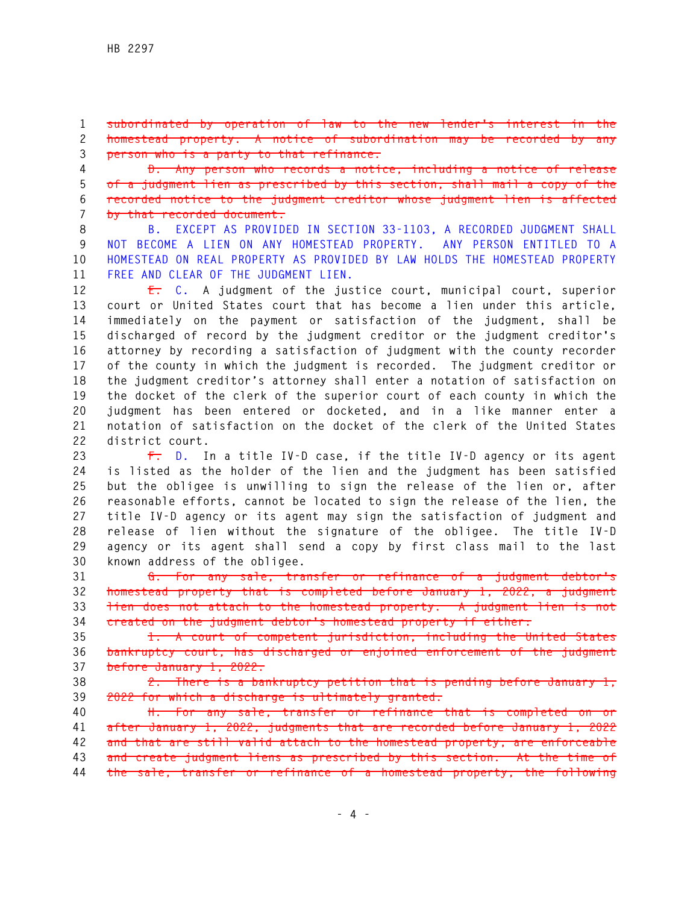**1 subordinated by operation of law to the new lender's interest in the 2 homestead property. A notice of subordination may be recorded by any 3 person who is a party to that refinance.** 

**4 D. Any person who records a notice, including a notice of release 5 of a judgment lien as prescribed by this section, shall mail a copy of the 6 recorded notice to the judgment creditor whose judgment lien is affected 7 by that recorded document.** 

**8 B. EXCEPT AS PROVIDED IN SECTION 33-1103, A RECORDED JUDGMENT SHALL 9 NOT BECOME A LIEN ON ANY HOMESTEAD PROPERTY. ANY PERSON ENTITLED TO A 10 HOMESTEAD ON REAL PROPERTY AS PROVIDED BY LAW HOLDS THE HOMESTEAD PROPERTY 11 FREE AND CLEAR OF THE JUDGMENT LIEN.** 

**12 E. C. A judgment of the justice court, municipal court, superior 13 court or United States court that has become a lien under this article, 14 immediately on the payment or satisfaction of the judgment, shall be 15 discharged of record by the judgment creditor or the judgment creditor's 16 attorney by recording a satisfaction of judgment with the county recorder 17 of the county in which the judgment is recorded. The judgment creditor or 18 the judgment creditor's attorney shall enter a notation of satisfaction on 19 the docket of the clerk of the superior court of each county in which the 20 judgment has been entered or docketed, and in a like manner enter a 21 notation of satisfaction on the docket of the clerk of the United States 22 district court.** 

**23 F. D. In a title IV-D case, if the title IV-D agency or its agent 24 is listed as the holder of the lien and the judgment has been satisfied 25 but the obligee is unwilling to sign the release of the lien or, after 26 reasonable efforts, cannot be located to sign the release of the lien, the 27 title IV-D agency or its agent may sign the satisfaction of judgment and 28 release of lien without the signature of the obligee. The title IV-D 29 agency or its agent shall send a copy by first class mail to the last 30 known address of the obligee.** 

**31 G. For any sale, transfer or refinance of a judgment debtor's 32 homestead property that is completed before January 1, 2022, a judgment 33 lien does not attach to the homestead property. A judgment lien is not 34 created on the judgment debtor's homestead property if either:** 

**35 1. A court of competent jurisdiction, including the United States 36 bankruptcy court, has discharged or enjoined enforcement of the judgment 37 before January 1, 2022.** 

**38 2. There is a bankruptcy petition that is pending before January 1, 39 2022 for which a discharge is ultimately granted.** 

**40 H. For any sale, transfer or refinance that is completed on or 41 after January 1, 2022, judgments that are recorded before January 1, 2022 42 and that are still valid attach to the homestead property, are enforceable 43 and create judgment liens as prescribed by this section. At the time of 44 the sale, transfer or refinance of a homestead property, the following**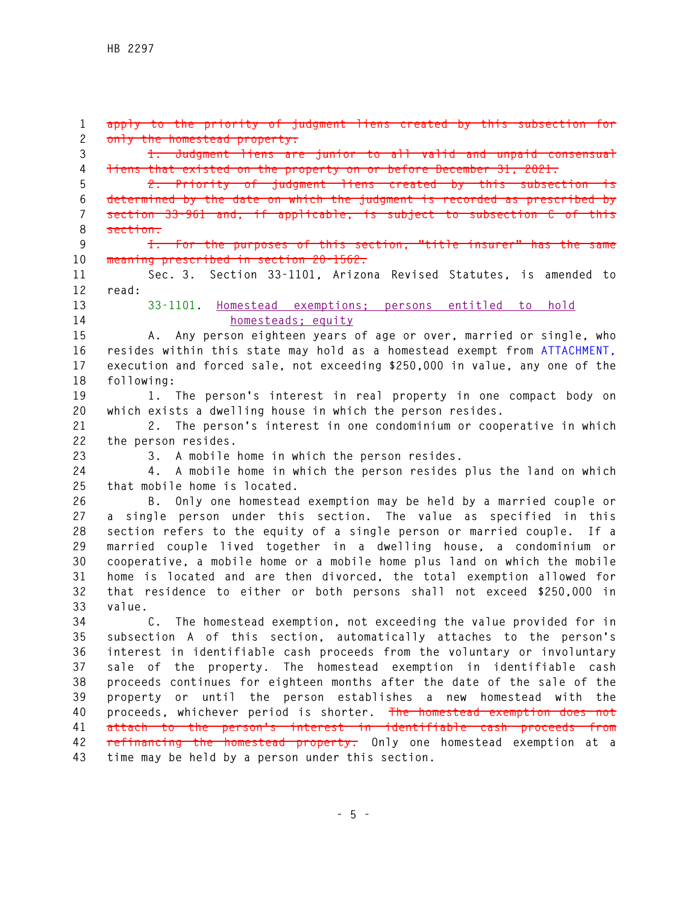**1 apply to the priority of judgment liens created by this subsection for 2 only the homestead property: 3 1. Judgment liens are junior to all valid and unpaid consensual 4 liens that existed on the property on or before December 31, 2021. 5 2. Priority of judgment liens created by this subsection is 6 determined by the date on which the judgment is recorded as prescribed by 7 section 33-961 and, if applicable, is subject to subsection C of this 8 section. 9 I. For the purposes of this section, "title insurer" has the same 10 meaning prescribed in section 20-1562. 11 Sec. 3. Section 33-1101, Arizona Revised Statutes, is amended to 12 read: 13 33-1101. Homestead exemptions; persons entitled to hold 14 homesteads; equity 15 A. Any person eighteen years of age or over, married or single, who 16 resides within this state may hold as a homestead exempt from ATTACHMENT, 17 execution and forced sale, not exceeding \$250,000 in value, any one of the 18 following: 19 1. The person's interest in real property in one compact body on 20 which exists a dwelling house in which the person resides. 21 2. The person's interest in one condominium or cooperative in which 22 the person resides. 23 3. A mobile home in which the person resides. 24 4. A mobile home in which the person resides plus the land on which 25 that mobile home is located. 26 B. Only one homestead exemption may be held by a married couple or 27 a single person under this section. The value as specified in this 28 section refers to the equity of a single person or married couple. If a 29 married couple lived together in a dwelling house, a condominium or 30 cooperative, a mobile home or a mobile home plus land on which the mobile 31 home is located and are then divorced, the total exemption allowed for 32 that residence to either or both persons shall not exceed \$250,000 in 33 value. 34 C. The homestead exemption, not exceeding the value provided for in 35 subsection A of this section, automatically attaches to the person's 36 interest in identifiable cash proceeds from the voluntary or involuntary 37 sale of the property. The homestead exemption in identifiable cash 38 proceeds continues for eighteen months after the date of the sale of the 39 property or until the person establishes a new homestead with the 40 proceeds, whichever period is shorter. The homestead exemption does not 41 attach to the person's interest in identifiable cash proceeds from 42 refinancing the homestead property. Only one homestead exemption at a 43 time may be held by a person under this section.**